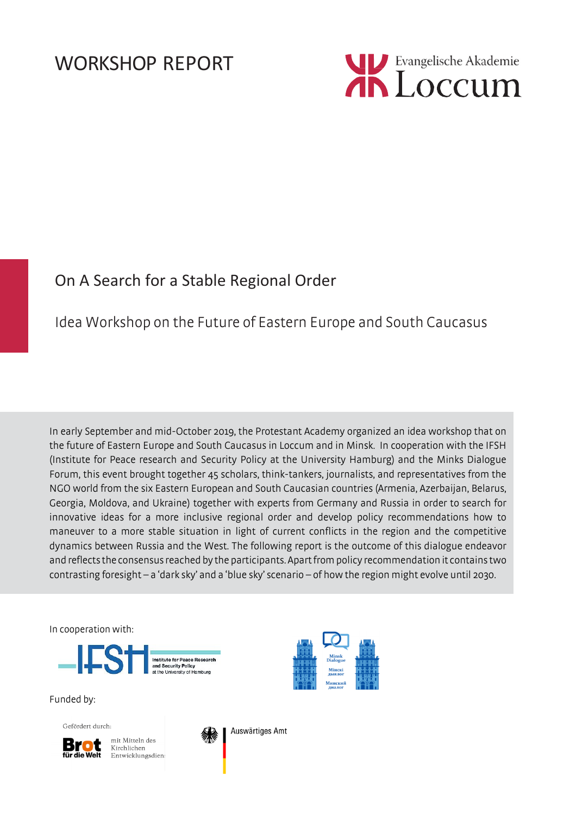

# On A Search for a Stable Regional Order

# Idea Workshop on the Future of Eastern Europe and South Caucasus

In early September and mid-October 2019, the Protestant Academy organized an idea workshop that on the future of Eastern Europe and South Caucasus in Loccum and in Minsk. In cooperation with the IFSH (Institute for Peace research and Security Policy at the University Hamburg) and the Minks Dialogue Forum, this event brought together 45 scholars, think-tankers, journalists, and representatives from the NGO world from the six Eastern European and South Caucasian countries (Armenia, Azerbaijan, Belarus, Georgia, Moldova, and Ukraine) together with experts from Germany and Russia in order to search for innovative ideas for a more inclusive regional order and develop policy recommendations how to maneuver to a more stable situation in light of current conflicts in the region and the competitive dynamics between Russia and the West. The following report is the outcome of this dialogue endeavor and reflects the consensus reached by the participants. Apart from policy recommendation it contains two contrasting foresight – a 'dark sky' and a 'blue sky' scenario – of how the region might evolve until 2030.

In cooperation with:



Funded by:

Gefördert durch:



mit Mitteln des Kirchlichen Entwicklungsdien:



Auswärtiges Amt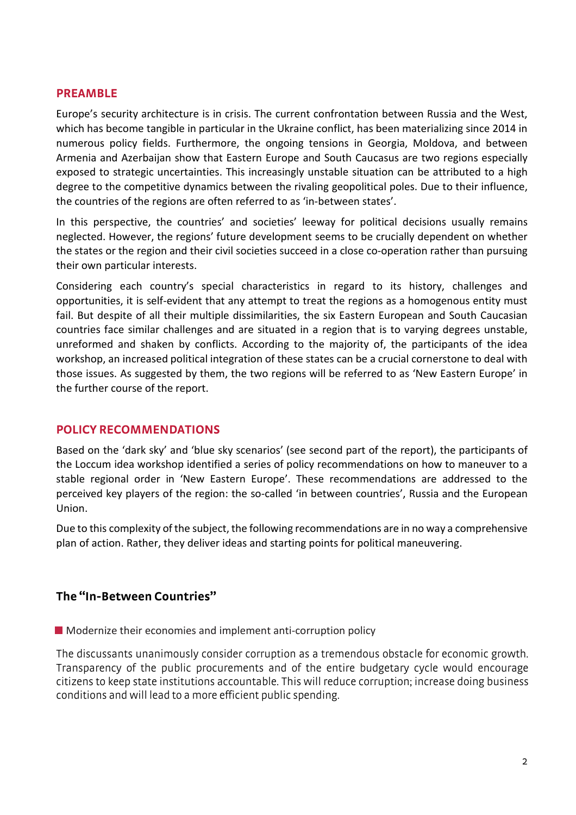#### **PREAMBLE**

Europe's security architecture is in crisis. The current confrontation between Russia and the West, which has become tangible in particular in the Ukraine conflict, has been materializing since 2014 in numerous policy fields. Furthermore, the ongoing tensions in Georgia, Moldova, and between Armenia and Azerbaijan show that Eastern Europe and South Caucasus are two regions especially exposed to strategic uncertainties. This increasingly unstable situation can be attributed to a high degree to the competitive dynamics between the rivaling geopolitical poles. Due to their influence, the countries of the regions are often referred to as 'in-between states'.

In this perspective, the countries' and societies' leeway for political decisions usually remains neglected. However, the regions' future development seems to be crucially dependent on whether the states or the region and their civil societies succeed in a close co-operation rather than pursuing their own particular interests.

Considering each country's special characteristics in regard to its history, challenges and opportunities, it is self-evident that any attempt to treat the regions as a homogenous entity must fail. But despite of all their multiple dissimilarities, the six Eastern European and South Caucasian countries face similar challenges and are situated in a region that is to varying degrees unstable, unreformed and shaken by conflicts. According to the majority of, the participants of the idea workshop, an increased political integration of these states can be a crucial cornerstone to deal with those issues. As suggested by them, the two regions will be referred to as 'New Eastern Europe' in the further course of the report.

#### **POLICY RECOMMENDATIONS**

Based on the 'dark sky' and 'blue sky scenarios' (see second part of the report), the participants of the Loccum idea workshop identified a series of policy recommendations on how to maneuver to a stable regional order in 'New Eastern Europe'. These recommendations are addressed to the perceived key players of the region: the so-called 'in between countries', Russia and the European Union.

Due to this complexity of the subject, the following recommendations are in no way a comprehensive plan of action. Rather, they deliver ideas and starting points for political maneuvering.

#### **The "In-Between Countries"**

**Modernize their economies and implement anti-corruption policy** 

The discussants unanimously consider corruption as a tremendous obstacle for economic growth. Transparency of the public procurements and of the entire budgetary cycle would encourage citizens to keep state institutions accountable. This will reduce corruption; increase doing business conditions and will lead to a more efficient public spending.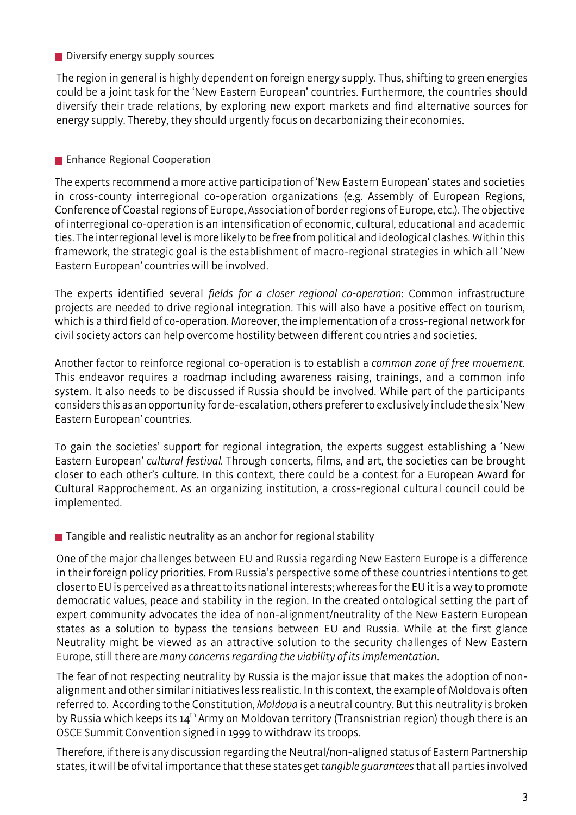#### Diversify energy supply sources

The region in general is highly dependent on foreign energy supply. Thus, shifting to green energies could be a joint task for the 'New Eastern European' countries. Furthermore, the countries should diversify their trade relations, by exploring new export markets and find alternative sources for energy supply. Thereby, they should urgently focus on decarbonizing their economies.

### **Enhance Regional Cooperation**

The experts recommend a more active participation of 'New Eastern European' states and societies in cross-county interregional co-operation organizations (e.g. Assembly of European Regions, Conference of Coastal regions of Europe, Association of border regions of Europe, etc.). The objective of interregional co-operation is an intensification of economic, cultural, educational and academic ties. The interregional level is more likely to be free from political and ideological clashes. Within this framework, the strategic goal is the establishment of macro-regional strategies in which all 'New Eastern European' countries will be involved.

The experts identified several *fields for a closer regional co-operation*: Common infrastructure projects are needed to drive regional integration. This will also have a positive effect on tourism, which is a third field of co-operation. Moreover, the implementation of a cross-regional network for civil society actors can help overcome hostility between different countries and societies.

Another factor to reinforce regional co-operation is to establish a *common zone of free movement*. This endeavor requires a roadmap including awareness raising, trainings, and a common info system. It also needs to be discussed if Russia should be involved. While part of the participants considers this as an opportunity for de-escalation, others preferer to exclusively include the six 'New Eastern European' countries.

To gain the societies' support for regional integration, the experts suggest establishing a 'New Eastern European' *cultural festival.* Through concerts, films, and art, the societies can be brought closer to each other's culture. In this context, there could be a contest for a European Award for Cultural Rapprochement. As an organizing institution, a cross-regional cultural council could be implemented.

■ Tangible and realistic neutrality as an anchor for regional stability

One of the major challenges between EU and Russia regarding New Eastern Europe is a difference in their foreign policy priorities. From Russia's perspective some of these countries intentions to get closer to EU is perceived as a threat to its national interests; whereas for the EU it is a way to promote democratic values, peace and stability in the region. In the created ontological setting the part of expert community advocates the idea of non-alignment/neutrality of the New Eastern European states as a solution to bypass the tensions between EU and Russia. While at the first glance Neutrality might be viewed as an attractive solution to the security challenges of New Eastern Europe, still there are *many concerns regarding the viability of its implementation*.

The fear of not respecting neutrality by Russia is the major issue that makes the adoption of nonalignment and other similar initiatives less realistic. In this context, the example of Moldova is often referred to. According to the Constitution, *Moldova* is a neutral country. But this neutrality is broken by Russia which keeps its 14<sup>th</sup> Army on Moldovan territory (Transnistrian region) though there is an OSCE Summit Convention signed in 1999 to withdraw its troops.

Therefore, if there is any discussion regarding the Neutral/non-aligned status of Eastern Partnership states, it will be of vital importance that these states get *tangible guarantees* that all parties involved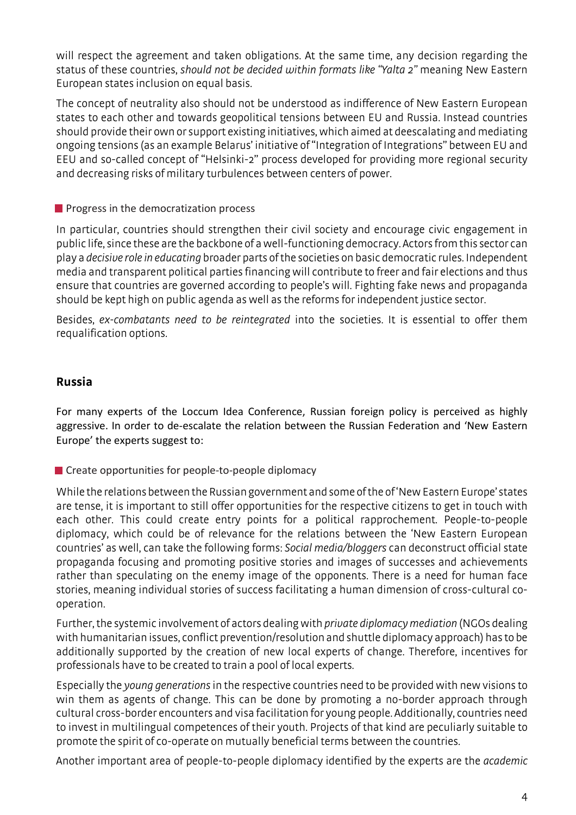will respect the agreement and taken obligations. At the same time, any decision regarding the status of these countries, *should not be decided within formats like "Yalta 2"* meaning New Eastern European states inclusion on equal basis.

The concept of neutrality also should not be understood as indifference of New Eastern European states to each other and towards geopolitical tensions between EU and Russia. Instead countries should provide their own or support existing initiatives, which aimed at deescalating and mediating ongoing tensions (as an example Belarus' initiative of "Integration of Integrations" between EU and EEU and so-called concept of "Helsinki-2" process developed for providing more regional security and decreasing risks of military turbulences between centers of power.

#### **Progress in the democratization process**

In particular, countries should strengthen their civil society and encourage civic engagement in public life, since these are the backbone of a well-functioning democracy. Actors from this sector can play a *decisive role in educating* broader parts of the societies on basic democratic rules. Independent media and transparent political parties financing will contribute to freer and fair elections and thus ensure that countries are governed according to people's will. Fighting fake news and propaganda should be kept high on public agenda as well as the reforms for independent justice sector.

Besides, *ex-combatants need to be reintegrated* into the societies. It is essential to offer them requalification options.

#### **Russia**

For many experts of the Loccum Idea Conference, Russian foreign policy is perceived as highly aggressive. In order to de-escalate the relation between the Russian Federation and 'New Eastern Europe' the experts suggest to:

Create opportunities for people-to-people diplomacy

While the relations between the Russian government and some of the of 'New Eastern Europe' states are tense, it is important to still offer opportunities for the respective citizens to get in touch with each other. This could create entry points for a political rapprochement. People-to-people diplomacy, which could be of relevance for the relations between the 'New Eastern European countries' as well, can take the following forms: *Social media/bloggers* can deconstruct official state propaganda focusing and promoting positive stories and images of successes and achievements rather than speculating on the enemy image of the opponents. There is a need for human face stories, meaning individual stories of success facilitating a human dimension of cross-cultural cooperation.

Further, the systemic involvement of actors dealing with *private diplomacy mediation* (NGOs dealing with humanitarian issues, conflict prevention/resolution and shuttle diplomacy approach) has to be additionally supported by the creation of new local experts of change. Therefore, incentives for professionals have to be created to train a pool of local experts.

Especially the *young generations* in the respective countries need to be provided with new visions to win them as agents of change. This can be done by promoting a no-border approach through cultural cross-border encounters and visa facilitation for young people. Additionally, countries need to invest in multilingual competences of their youth. Projects of that kind are peculiarly suitable to promote the spirit of co-operate on mutually beneficial terms between the countries.

Another important area of people-to-people diplomacy identified by the experts are the *academic*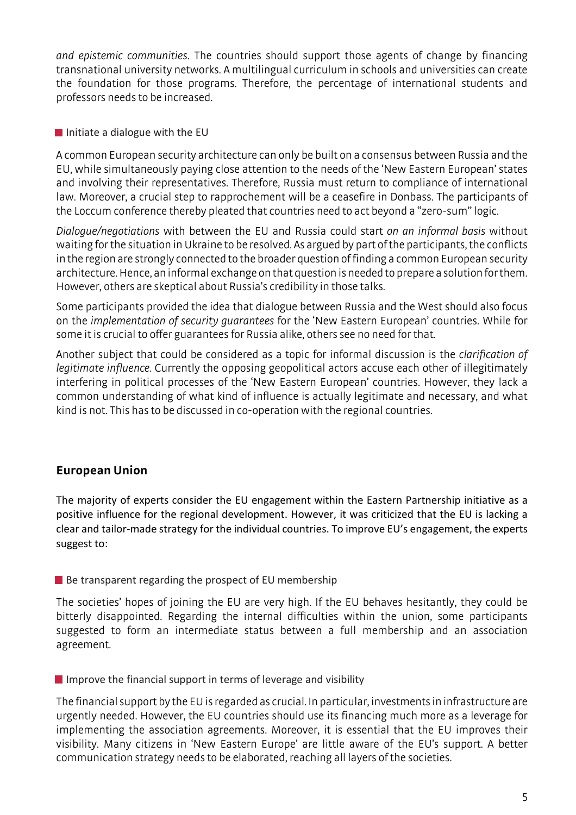*and epistemic communities*. The countries should support those agents of change by financing transnational university networks. A multilingual curriculum in schools and universities can create the foundation for those programs. Therefore, the percentage of international students and professors needs to be increased.

 $\blacksquare$  Initiate a dialogue with the EU

A common European security architecture can only be built on a consensus between Russia and the EU, while simultaneously paying close attention to the needs of the 'New Eastern European' states and involving their representatives. Therefore, Russia must return to compliance of international law. Moreover, a crucial step to rapprochement will be a ceasefire in Donbass. The participants of the Loccum conference thereby pleated that countries need to act beyond a "zero-sum" logic.

*Dialogue/negotiations* with between the EU and Russia could start *on an informal basis* without waiting for the situation in Ukraine to be resolved. As argued by part of the participants, the conflicts in the region are strongly connected to the broader question of finding a common European security architecture. Hence, an informal exchange on that question is needed to prepare a solution for them. However, others are skeptical about Russia's credibility in those talks.

Some participants provided the idea that dialogue between Russia and the West should also focus on the *implementation of security guarantees* for the 'New Eastern European' countries. While for some it is crucial to offer guarantees for Russia alike, others see no need for that.

Another subject that could be considered as a topic for informal discussion is the *clarification of legitimate influence.* Currently the opposing geopolitical actors accuse each other of illegitimately interfering in political processes of the 'New Eastern European' countries. However, they lack a common understanding of what kind of influence is actually legitimate and necessary, and what kind is not. This has to be discussed in co-operation with the regional countries.

# **European Union**

The majority of experts consider the EU engagement within the Eastern Partnership initiative as a positive influence for the regional development. However, it was criticized that the EU is lacking a clear and tailor-made strategy for the individual countries. To improve EU's engagement, the experts suggest to:

#### $\blacksquare$  Be transparent regarding the prospect of EU membership

The societies' hopes of joining the EU are very high. If the EU behaves hesitantly, they could be bitterly disappointed. Regarding the internal difficulties within the union, some participants suggested to form an intermediate status between a full membership and an association agreement.

 $\blacksquare$  Improve the financial support in terms of leverage and visibility

The financial support by the EU is regarded as crucial. In particular, investments in infrastructure are urgently needed. However, the EU countries should use its financing much more as a leverage for implementing the association agreements. Moreover, it is essential that the EU improves their visibility. Many citizens in 'New Eastern Europe' are little aware of the EU's support. A better communication strategy needs to be elaborated, reaching all layers of the societies.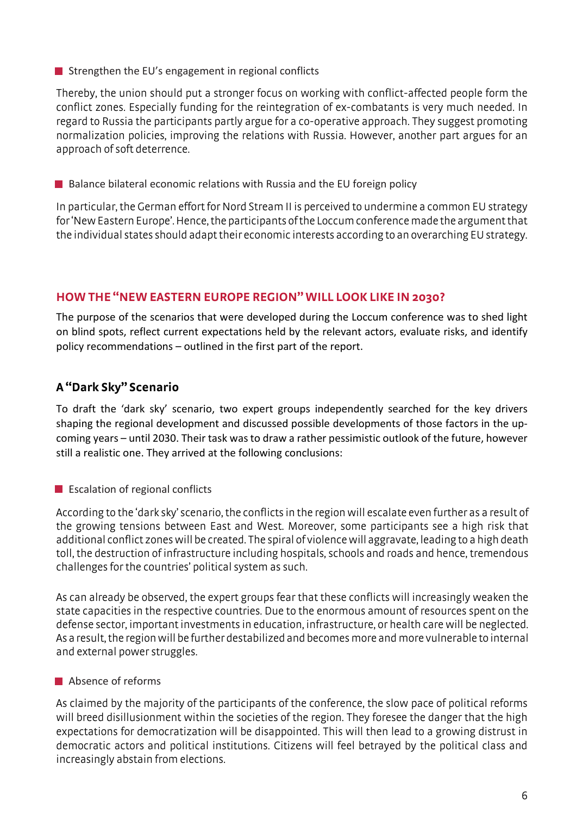Strengthen the EU's engagement in regional conflicts

Thereby, the union should put a stronger focus on working with conflict-affected people form the conflict zones. Especially funding for the reintegration of ex-combatants is very much needed. In regard to Russia the participants partly argue for a co-operative approach. They suggest promoting normalization policies, improving the relations with Russia. However, another part argues for an approach of soft deterrence.

Balance bilateral economic relations with Russia and the EU foreign policy

In particular, the German effort for Nord Stream II is perceived to undermine a common EU strategy for 'New Eastern Europe'. Hence, the participants of the Loccum conference made the argument that the individual states should adapt their economic interests according to an overarching EU strategy.

# **HOW THE "NEW EASTERN EUROPE REGION" WILL LOOK LIKE IN 2030?**

The purpose of the scenarios that were developed during the Loccum conference was to shed light on blind spots, reflect current expectations held by the relevant actors, evaluate risks, and identify policy recommendations – outlined in the first part of the report.

# **A "Dark Sky" Scenario**

To draft the 'dark sky' scenario, two expert groups independently searched for the key drivers shaping the regional development and discussed possible developments of those factors in the upcoming years – until 2030. Their task was to draw a rather pessimistic outlook of the future, however still a realistic one. They arrived at the following conclusions:

**Example 1** Escalation of regional conflicts

According to the 'dark sky' scenario, the conflicts in the region will escalate even further as a result of the growing tensions between East and West. Moreover, some participants see a high risk that additional conflict zones will be created. The spiral of violence will aggravate, leading to a high death toll, the destruction of infrastructure including hospitals, schools and roads and hence, tremendous challenges for the countries' political system as such.

As can already be observed, the expert groups fear that these conflicts will increasingly weaken the state capacities in the respective countries. Due to the enormous amount of resources spent on the defense sector, important investments in education, infrastructure, or health care will be neglected. As a result, the region will be further destabilized and becomes more and more vulnerable to internal and external power struggles.

# Absence of reforms

As claimed by the majority of the participants of the conference, the slow pace of political reforms will breed disillusionment within the societies of the region. They foresee the danger that the high expectations for democratization will be disappointed. This will then lead to a growing distrust in democratic actors and political institutions. Citizens will feel betrayed by the political class and increasingly abstain from elections.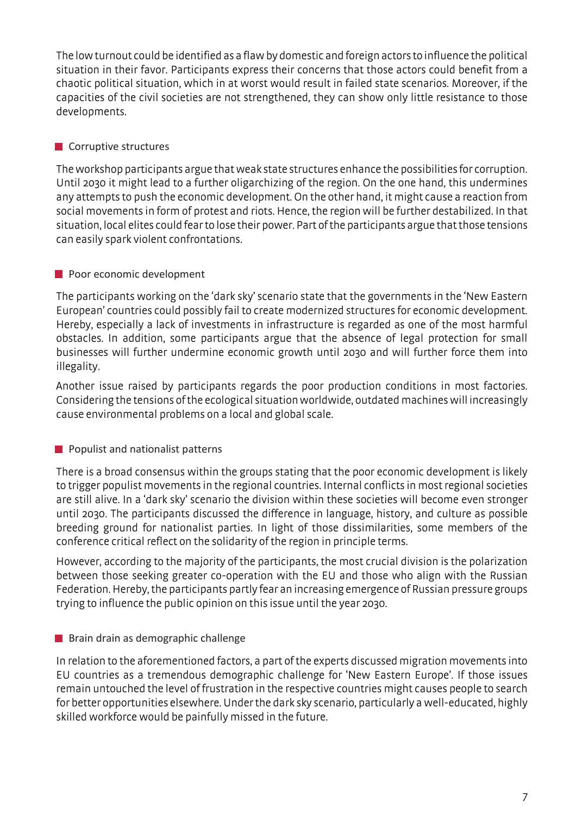The low turnout could be identified as a flaw by domestic and foreign actors to influence the political situation in their favor. Participants express their concerns that those actors could benefit from a chaotic political situation, which in at worst would result in failed state scenarios. Moreover, if the capacities of the civil societies are not strengthened, they can show only little resistance to those developments.

#### **Corruptive structures**

The workshop participants argue that weak state structures enhance the possibilities for corruption. Until 2030 it might lead to a further oligarchizing of the region. On the one hand, this undermines any attempts to push the economic development. On the other hand, it might cause a reaction from social movements in form of protest and riots. Hence, the region will be further destabilized. In that situation, local elites could fear to lose their power. Part of the participants argue that those tensions can easily spark violent confrontations.

# **Poor economic development**

The participants working on the 'dark sky' scenario state that the governments in the 'New Eastern European' countries could possibly fail to create modernized structures for economic development. Hereby, especially a lack of investments in infrastructure is regarded as one of the most harmful obstacles. In addition, some participants argue that the absence of legal protection for small businesses will further undermine economic growth until 2030 and will further force them into illegality.

Another issue raised by participants regards the poor production conditions in most factories. Considering the tensions of the ecological situation worldwide, outdated machines will increasingly cause environmental problems on a local and global scale.

# **Populist and nationalist patterns**

There is a broad consensus within the groups stating that the poor economic development is likely to trigger populist movements in the regional countries. Internal conflicts in most regional societies are still alive. In a 'dark sky' scenario the division within these societies will become even stronger until 2030. The participants discussed the difference in language, history, and culture as possible breeding ground for nationalist parties. In light of those dissimilarities, some members of the conference critical reflect on the solidarity of the region in principle terms.

However, according to the majority of the participants, the most crucial division is the polarization between those seeking greater co-operation with the EU and those who align with the Russian Federation. Hereby, the participants partly fear an increasing emergence of Russian pressure groups trying to influence the public opinion on this issue until the year 2030.

#### **Brain drain as demographic challenge**

In relation to the aforementioned factors, a part of the experts discussed migration movements into EU countries as a tremendous demographic challenge for 'New Eastern Europe'. If those issues remain untouched the level of frustration in the respective countries might causes people to search for better opportunities elsewhere. Under the dark sky scenario, particularly a well-educated, highly skilled workforce would be painfully missed in the future.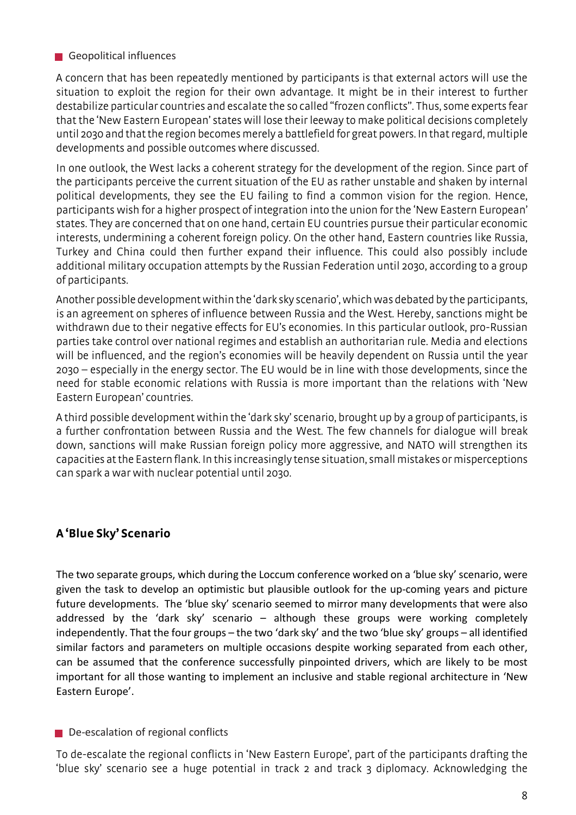#### Geopolitical influences

A concern that has been repeatedly mentioned by participants is that external actors will use the situation to exploit the region for their own advantage. It might be in their interest to further destabilize particular countries and escalate the so called "frozen conflicts". Thus, some experts fear that the 'New Eastern European' states will lose their leeway to make political decisions completely until 2030 and that the region becomes merely a battlefield for great powers. In that regard, multiple developments and possible outcomes where discussed.

In one outlook, the West lacks a coherent strategy for the development of the region. Since part of the participants perceive the current situation of the EU as rather unstable and shaken by internal political developments, they see the EU failing to find a common vision for the region. Hence, participants wish for a higher prospect of integration into the union for the 'New Eastern European' states. They are concerned that on one hand, certain EU countries pursue their particular economic interests, undermining a coherent foreign policy. On the other hand, Eastern countries like Russia, Turkey and China could then further expand their influence. This could also possibly include additional military occupation attempts by the Russian Federation until 2030, according to a group of participants.

Another possible development within the 'dark sky scenario', which was debated by the participants, is an agreement on spheres of influence between Russia and the West. Hereby, sanctions might be withdrawn due to their negative effects for EU's economies. In this particular outlook, pro-Russian parties take control over national regimes and establish an authoritarian rule. Media and elections will be influenced, and the region's economies will be heavily dependent on Russia until the year 2030 – especially in the energy sector. The EU would be in line with those developments, since the need for stable economic relations with Russia is more important than the relations with 'New Eastern European' countries.

A third possible development within the 'dark sky' scenario, brought up by a group of participants, is a further confrontation between Russia and the West. The few channels for dialogue will break down, sanctions will make Russian foreign policy more aggressive, and NATO will strengthen its capacities at the Eastern flank. In this increasingly tense situation, small mistakes or misperceptions can spark a war with nuclear potential until 2030.

# **A 'Blue Sky' Scenario**

The two separate groups, which during the Loccum conference worked on a 'blue sky' scenario, were given the task to develop an optimistic but plausible outlook for the up-coming years and picture future developments. The 'blue sky' scenario seemed to mirror many developments that were also addressed by the 'dark sky' scenario – although these groups were working completely independently. That the four groups – the two 'dark sky' and the two 'blue sky' groups – all identified similar factors and parameters on multiple occasions despite working separated from each other, can be assumed that the conference successfully pinpointed drivers, which are likely to be most important for all those wanting to implement an inclusive and stable regional architecture in 'New Eastern Europe'.

#### De-escalation of regional conflicts

To de-escalate the regional conflicts in 'New Eastern Europe', part of the participants drafting the 'blue sky' scenario see a huge potential in track 2 and track 3 diplomacy. Acknowledging the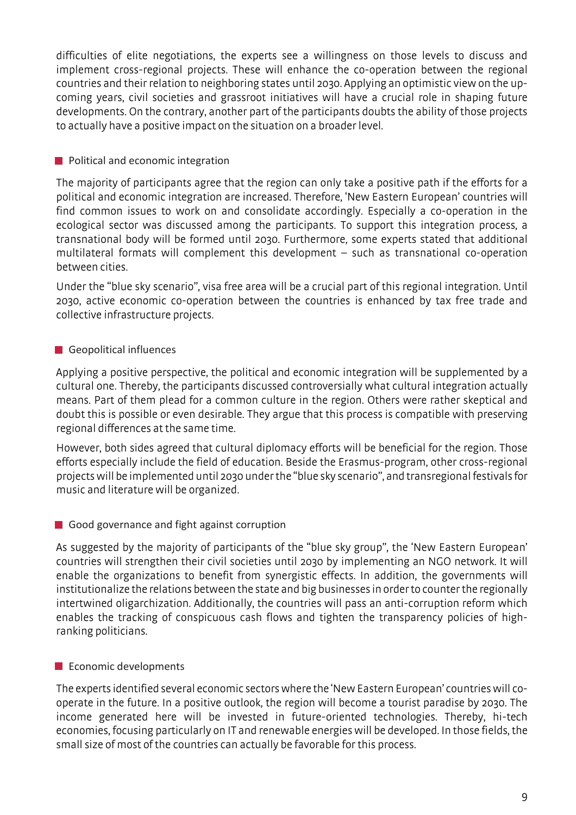difficulties of elite negotiations, the experts see a willingness on those levels to discuss and implement cross-regional projects. These will enhance the co-operation between the regional countries and their relation to neighboring states until 2030. Applying an optimistic view on the upcoming years, civil societies and grassroot initiatives will have a crucial role in shaping future developments. On the contrary, another part of the participants doubts the ability of those projects to actually have a positive impact on the situation on a broader level.

#### **Political and economic integration**

The majority of participants agree that the region can only take a positive path if the efforts for a political and economic integration are increased. Therefore, 'New Eastern European' countries will find common issues to work on and consolidate accordingly. Especially a co-operation in the ecological sector was discussed among the participants. To support this integration process, a transnational body will be formed until 2030. Furthermore, some experts stated that additional multilateral formats will complement this development – such as transnational co-operation between cities.

Under the "blue sky scenario", visa free area will be a crucial part of this regional integration. Until 2030, active economic co-operation between the countries is enhanced by tax free trade and collective infrastructure projects.

#### Geopolitical influences

Applying a positive perspective, the political and economic integration will be supplemented by a cultural one. Thereby, the participants discussed controversially what cultural integration actually means. Part of them plead for a common culture in the region. Others were rather skeptical and doubt this is possible or even desirable. They argue that this process is compatible with preserving regional differences at the same time.

However, both sides agreed that cultural diplomacy efforts will be beneficial for the region. Those efforts especially include the field of education. Beside the Erasmus-program, other cross-regional projects will be implemented until 2030 under the "blue sky scenario", and transregional festivals for music and literature will be organized.

# Good governance and fight against corruption

As suggested by the majority of participants of the "blue sky group", the 'New Eastern European' countries will strengthen their civil societies until 2030 by implementing an NGO network. It will enable the organizations to benefit from synergistic effects. In addition, the governments will institutionalize the relations between the state and big businesses in order to counter the regionally intertwined oligarchization. Additionally, the countries will pass an anti-corruption reform which enables the tracking of conspicuous cash flows and tighten the transparency policies of highranking politicians.

#### **Exercise Economic developments**

The experts identified several economic sectors where the 'New Eastern European' countries will cooperate in the future. In a positive outlook, the region will become a tourist paradise by 2030. The income generated here will be invested in future-oriented technologies. Thereby, hi-tech economies, focusing particularly on IT and renewable energies will be developed. In those fields, the small size of most of the countries can actually be favorable for this process.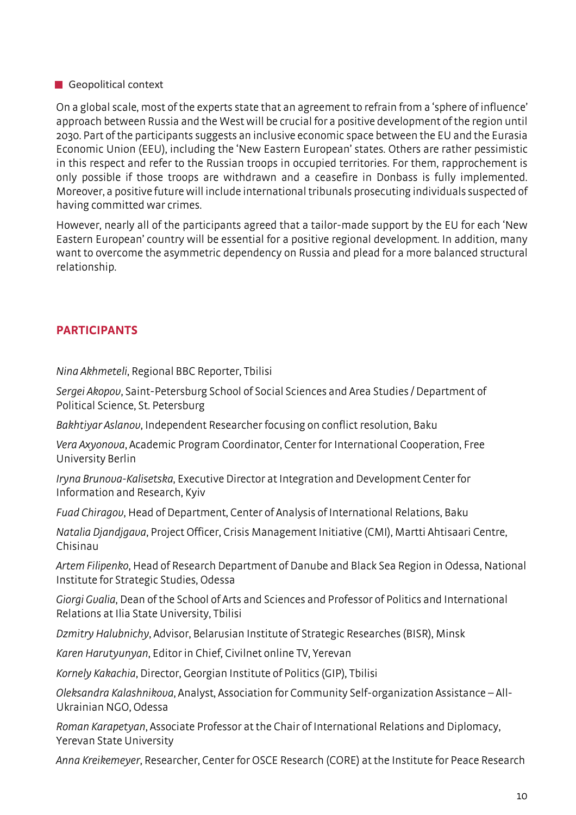#### Geopolitical context

On a global scale, most of the experts state that an agreement to refrain from a 'sphere of influence' approach between Russia and the West will be crucial for a positive development of the region until 2030. Part of the participants suggests an inclusive economic space between the EU and the Eurasia Economic Union (EEU), including the 'New Eastern European' states. Others are rather pessimistic in this respect and refer to the Russian troops in occupied territories. For them, rapprochement is only possible if those troops are withdrawn and a ceasefire in Donbass is fully implemented. Moreover, a positive future will include international tribunals prosecuting individuals suspected of having committed war crimes.

However, nearly all of the participants agreed that a tailor-made support by the EU for each 'New Eastern European' country will be essential for a positive regional development. In addition, many want to overcome the asymmetric dependency on Russia and plead for a more balanced structural relationship.

# **PARTICIPANTS**

*Nina Akhmeteli*, Regional BBC Reporter, Tbilisi

*Sergei Akopov*, Saint-Petersburg School of Social Sciences and Area Studies / Department of Political Science, St. Petersburg

*Bakhtiyar Aslanov*, Independent Researcher focusing on conflict resolution, Baku

*Vera Axyonova*, Academic Program Coordinator, Center for International Cooperation, Free University Berlin

*Iryna Brunova-Kalisetska*, Executive Director at Integration and Development Center for Information and Research, Kyiv

*Fuad Chiragov*, Head of Department, Center of Analysis of International Relations, Baku

*Natalia Djandjgava*, Project Officer, Crisis Management Initiative (CMI), Martti Ahtisaari Centre, Chisinau

*Artem Filipenko*, Head of Research Department of Danube and Black Sea Region in Odessa, National Institute for Strategic Studies, Odessa

*Giorgi Gvalia*, Dean of the School of Arts and Sciences and Professor of Politics and International Relations at Ilia State University, Tbilisi

*Dzmitry Halubnichy*, Advisor, Belarusian Institute of Strategic Researches (BISR), Minsk

*Karen Harutyunyan*, Editor in Chief, Civilnet online TV, Yerevan

*Kornely Kakachia*, Director, Georgian Institute of Politics (GIP), Tbilisi

*Oleksandra Kalashnikova*, Analyst, Association for Community Self-organization Assistance – All-Ukrainian NGO, Odessa

*Roman Karapetyan*, Associate Professor at the Chair of International Relations and Diplomacy, Yerevan State University

*Anna Kreikemeyer*, Researcher, Center for OSCE Research (CORE) at the Institute for Peace Research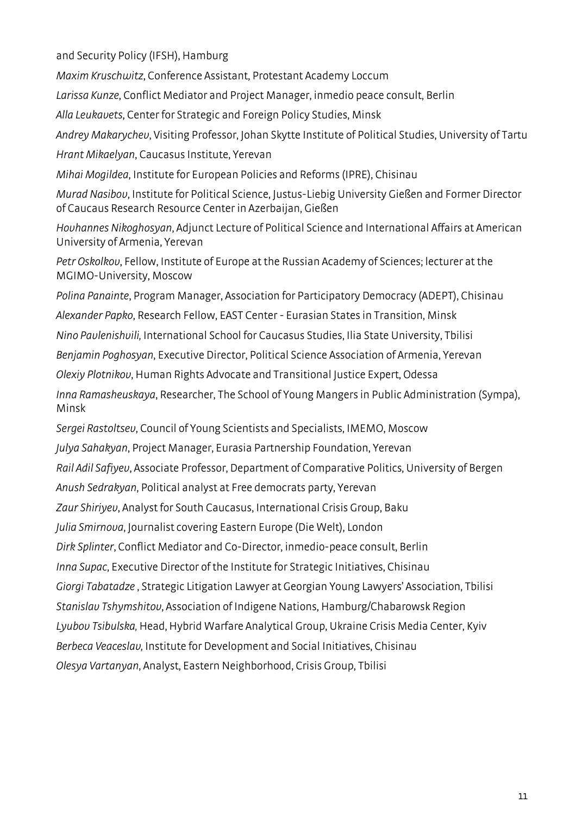and Security Policy (IFSH), Hamburg

*Maxim Kruschwitz*, Conference Assistant, Protestant Academy Loccum

*Larissa Kunze*, Conflict Mediator and Project Manager, inmedio peace consult, Berlin

*Alla Leukavets*, Center for Strategic and Foreign Policy Studies, Minsk

*Andrey Makarychev*, Visiting Professor, Johan Skytte Institute of Political Studies, University of Tartu *Hrant Mikaelyan*, Caucasus Institute, Yerevan

*Mihai Mogildea*, Institute for European Policies and Reforms (IPRE), Chisinau

*Murad Nasibov*, Institute for Political Science, Justus-Liebig University Gießen and Former Director of Caucaus Research Resource Center in Azerbaijan, Gießen

*Hovhannes Nikoghosyan*, Adjunct Lecture of Political Science and International Affairs at American University of Armenia, Yerevan

*Petr Oskolkov*, Fellow, Institute of Europe at the Russian Academy of Sciences; lecturer at the MGIMO-University, Moscow

*Polina Panainte*, Program Manager, Association for Participatory Democracy (ADEPT), Chisinau

*Alexander Papko*, Research Fellow, EAST Center - Eurasian States in Transition, Minsk

*Nino Pavlenishvili,* International School for Caucasus Studies, Ilia State University, Tbilisi

*Benjamin Poghosyan*, Executive Director, Political Science Association of Armenia, Yerevan

*Olexiy Plotnikov*, Human Rights Advocate and Transitional Justice Expert, Odessa

*Inna Ramasheuskaya*, Researcher, The School of Young Mangers in Public Administration (Sympa), Minsk

*Sergei Rastoltsev*, Council of Young Scientists and Specialists, IMEMO, Moscow

*Julya Sahakyan*, Project Manager, Eurasia Partnership Foundation, Yerevan

*Rail Adil Safiyev*, Associate Professor, Department of Comparative Politics, University of Bergen

*Anush Sedrakyan*, Political analyst at Free democrats party, Yerevan

*Zaur Shiriyev*, Analyst for South Caucasus, International Crisis Group, Baku

*Julia Smirnova*, Journalist covering Eastern Europe (Die Welt), London

*Dirk Splinter*, Conflict Mediator and Co-Director, inmedio-peace consult, Berlin

*Inna Supac*, Executive Director of the Institute for Strategic Initiatives, Chisinau

*Giorgi Tabatadze* , Strategic Litigation Lawyer at Georgian Young Lawyers' Association, Tbilisi

*Stanislav Tshymshitov*, Association of Indigene Nations, Hamburg/Chabarowsk Region

*Lyubov Tsibulska,* Head, Hybrid Warfare Analytical Group, Ukraine Crisis Media Center, Kyiv

*Berbeca Veaceslav,* Institute for Development and Social Initiatives, Chisinau

*Olesya Vartanyan*, Analyst, Eastern Neighborhood, Crisis Group, Tbilisi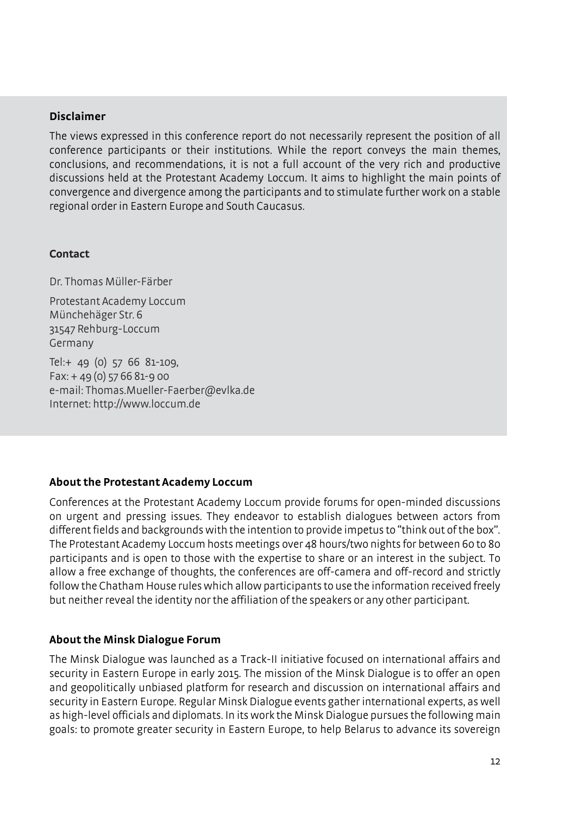#### **Disclaimer**

The views expressed in this conference report do not necessarily represent the position of all conference participants or their institutions. While the report conveys the main themes, conclusions, and recommendations, it is not a full account of the very rich and productive discussions held at the Protestant Academy Loccum. It aims to highlight the main points of convergence and divergence among the participants and to stimulate further work on a stable regional order in Eastern Europe and South Caucasus.

#### **Contact**

Dr. Thomas Müller-Färber

Protestant Academy Loccum Münchehäger Str. 6 31547 Rehburg-Loccum Germany

Tel:+ 49 (0) 57 66 81-109, Fax: + 49 (0) 57 66 81-9 00 e-mail: Thomas.Mueller-Faerber@evlka.de Internet: http://www.loccum.de

# **About the Protestant Academy Loccum**

Conferences at the Protestant Academy Loccum provide forums for open-minded discussions on urgent and pressing issues. They endeavor to establish dialogues between actors from different fields and backgrounds with the intention to provide impetus to "think out of the box". The Protestant Academy Loccum hosts meetings over 48 hours/two nights for between 60 to 80 participants and is open to those with the expertise to share or an interest in the subject. To allow a free exchange of thoughts, the conferences are off-camera and off-record and strictly follow the Chatham House rules which allow participants to use the information received freely but neither reveal the identity nor the affiliation of the speakers or any other participant.

# **About the Minsk Dialogue Forum**

The Minsk Dialogue was launched as a Track-II initiative focused on international affairs and security in Eastern Europe in early 2015. The mission of the Minsk Dialogue is to offer an open and geopolitically unbiased platform for research and discussion on international affairs and security in Eastern Europe. Regular Minsk Dialogue events gather international experts, as well as high-level officials and diplomats. In its work the Minsk Dialogue pursues the following main goals: to promote greater security in Eastern Europe, to help Belarus to advance its sovereign